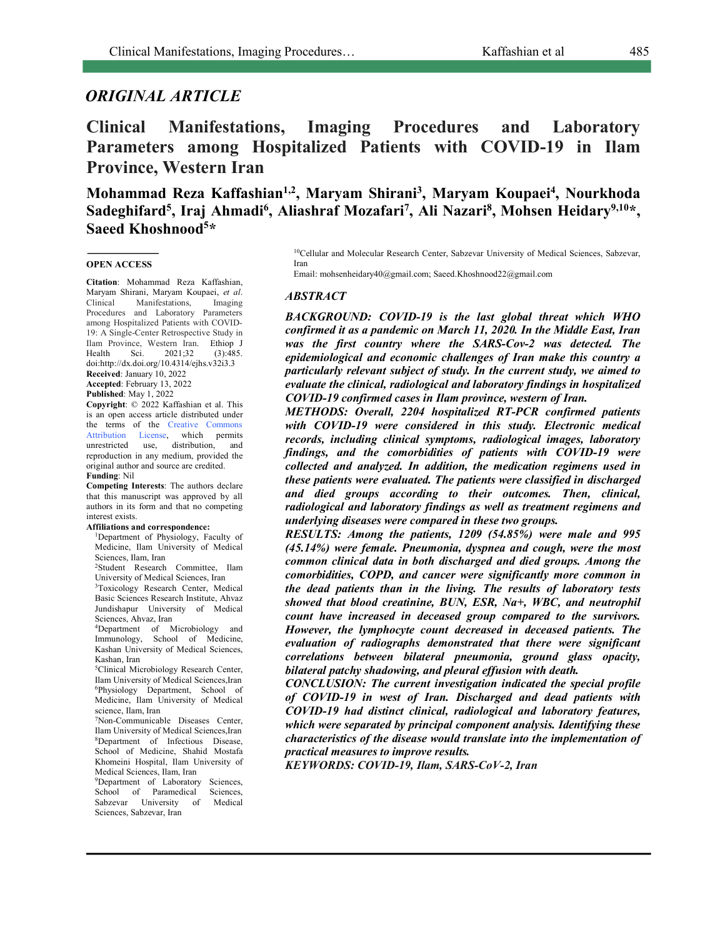# *ORIGINAL ARTICLE*

**Clinical Manifestations, Imaging Procedures and Laboratory Parameters among Hospitalized Patients with COVID-19 in Ilam Province, Western Iran**

**Mohammad Reza Kaffashian1,2, Maryam Shirani3 , Maryam Koupaei4 , Nourkhoda**  Sadeghifard<sup>5</sup>, Iraj Ahmadi<sup>6</sup>, Aliashraf Mozafari<sup>7</sup>, Ali Nazari<sup>8</sup>, Mohsen Heidary<sup>9,10</sup>\*, **Saeed Khoshnood5 \***

#### **OPEN ACCESS**

**Citation**: Mohammad Reza Kaffashian, Maryam Shirani, Maryam Koupaei, *et al*. Clinical Manifestations, Imaging Procedures and Laboratory Parameters among Hospitalized Patients with COVID-19: A Single-Center Retrospective Study in Ilam Province, Western Iran. Ethiop J<br>Health Sci. 2021;32 (3):485. Sci.  $2021;32$  (3):485. doi:http://dx.doi.org/10.4314/ejhs.v32i3.3 **Received**: January 10, 2022 **Accepted**: February 13, 2022

**Published**: May 1, 2022

**Copyright**: © 2022 Kaffashian et al. This is an open access article distributed under the terms of the Creative Commons Attribution License, which permits<br>unrestricted use, distribution, and unrestricted use, distribution, and reproduction in any medium, provided the original author and source are credited. **Funding**: Nil

**Competing Interests**: The authors declare that this manuscript was approved by all authors in its form and that no competing interest exists.

#### **Affiliations and correspondence:**

1Department of Physiology, Faculty of Medicine, Ilam University of Medical Sciences, Ilam, Iran

2Student Research Committee, Ilam University of Medical Sciences, Iran 3Toxicology Research Center, Medical

Basic Sciences Research Institute, Ahvaz Jundishapur University of Medical Sciences, Ahvaz, Iran

4Department of Microbiology and Immunology, School of Medicine, Kashan University of Medical Sciences, Kashan, Iran

5Clinical Microbiology Research Center, Ilam University of Medical Sciences,Iran 6Physiology Department, School of Medicine, Ilam University of Medical science, Ilam, Iran

7Non-Communicable Diseases Center, Ilam University of Medical Sciences,Iran 8Department of Infectious Disease, School of Medicine, Shahid Mostafa Khomeini Hospital, Ilam University of Medical Sciences, Ilam, Iran

<sup>9</sup>Department of Laboratory Sciences, School of Paramedical Sciences, Sabzevar University of Medical Sciences, Sabzevar, Iran

10Cellular and Molecular Research Center, Sabzevar University of Medical Sciences, Sabzevar, Iran

Email: mohsenheidary40@gmail.com; Saeed.Khoshnood22@gmail.com

#### *ABSTRACT*

*BACKGROUND: COVID-19 is the last global threat which WHO confirmed it as a pandemic on March 11, 2020. In the Middle East, Iran was the first country where the SARS-Cov-2 was detected. The epidemiological and economic challenges of Iran make this country a particularly relevant subject of study. In the current study, we aimed to evaluate the clinical, radiological and laboratory findings in hospitalized COVID-19 confirmed cases in Ilam province, western of Iran.*

*METHODS: Overall, 2204 hospitalized RT-PCR confirmed patients with COVID-19 were considered in this study. Electronic medical records, including clinical symptoms, radiological images, laboratory findings, and the comorbidities of patients with COVID-19 were collected and analyzed. In addition, the medication regimens used in these patients were evaluated. The patients were classified in discharged and died groups according to their outcomes. Then, clinical, radiological and laboratory findings as well as treatment regimens and underlying diseases were compared in these two groups.*

*RESULTS: Among the patients, 1209 (54.85%) were male and 995 (45.14%) were female. Pneumonia, dyspnea and cough, were the most common clinical data in both discharged and died groups. Among the comorbidities, COPD, and cancer were significantly more common in the dead patients than in the living. The results of laboratory tests showed that blood creatinine, BUN, ESR, Na+, WBC, and neutrophil count have increased in deceased group compared to the survivors. However, the lymphocyte count decreased in deceased patients. The evaluation of radiographs demonstrated that there were significant correlations between bilateral pneumonia, ground glass opacity, bilateral patchy shadowing, and pleural effusion with death.* 

*CONCLUSION: The current investigation indicated the special profile of COVID-19 in west of Iran. Discharged and dead patients with COVID-19 had distinct clinical, radiological and laboratory features, which were separated by principal component analysis. Identifying these characteristics of the disease would translate into the implementation of practical measures to improve results.*

*KEYWORDS: COVID-19, Ilam, SARS-CoV-2, Iran*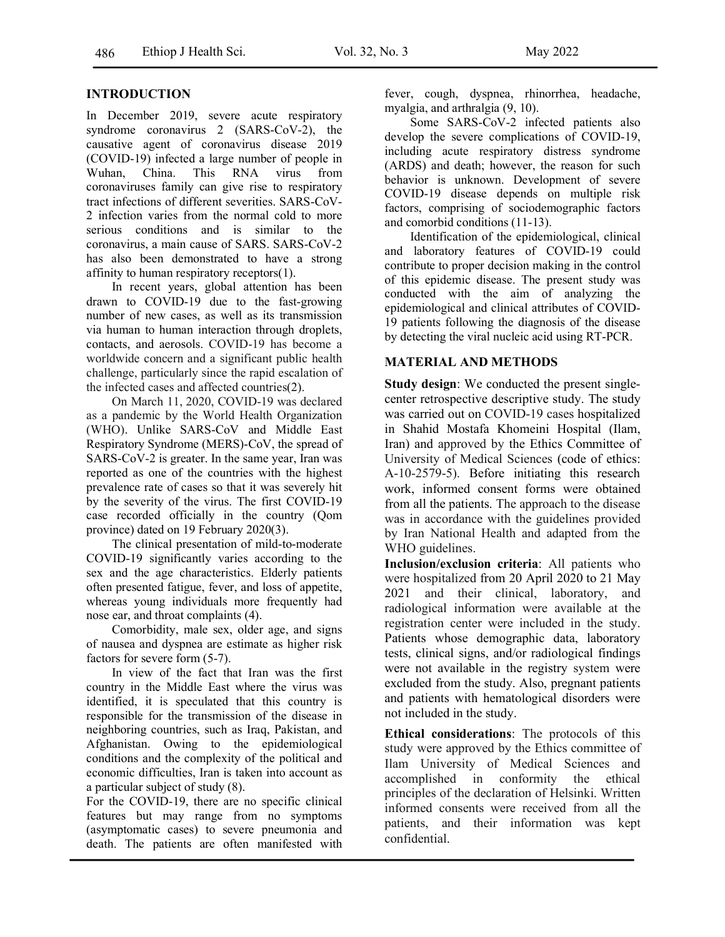## **INTRODUCTION**

In December 2019, severe acute respiratory syndrome coronavirus 2 (SARS-CoV-2), the causative agent of coronavirus disease 2019 (COVID-19) infected a large number of people in Wuhan, China. This RNA virus from coronaviruses family can give rise to respiratory tract infections of different severities. SARS-CoV-2 infection varies from the normal cold to more serious conditions and is similar to the coronavirus, a main cause of SARS. SARS-CoV-2 has also been demonstrated to have a strong affinity to human respiratory receptors(1).

In recent years, global attention has been drawn to COVID-19 due to the fast-growing number of new cases, as well as its transmission via human to human interaction through droplets, contacts, and aerosols. COVID-19 has become a worldwide concern and a significant public health challenge, particularly since the rapid escalation of the infected cases and affected countries(2).

On March 11, 2020, COVID-19 was declared as a pandemic by the World Health Organization (WHO). Unlike SARS-CoV and Middle East Respiratory Syndrome (MERS)-CoV, the spread of SARS-CoV-2 is greater. In the same year, Iran was reported as one of the countries with the highest prevalence rate of cases so that it was severely hit by the severity of the virus. The first COVID-19 case recorded officially in the country (Qom province) dated on 19 February 2020(3).

The clinical presentation of mild-to-moderate COVID-19 significantly varies according to the sex and the age characteristics. Elderly patients often presented fatigue, fever, and loss of appetite, whereas young individuals more frequently had nose ear, and throat complaints (4).

Comorbidity, male sex, older age, and signs of nausea and dyspnea are estimate as higher risk factors for severe form (5-7).

In view of the fact that Iran was the first country in the Middle East where the virus was identified, it is speculated that this country is responsible for the transmission of the disease in neighboring countries, such as Iraq, Pakistan, and Afghanistan. Owing to the epidemiological conditions and the complexity of the political and economic difficulties, Iran is taken into account as a particular subject of study (8).

For the COVID-19, there are no specific clinical features but may range from no symptoms (asymptomatic cases) to severe pneumonia and death. The patients are often manifested with fever, cough, dyspnea, rhinorrhea, headache, myalgia, and arthralgia (9, 10).

Some SARS-CoV-2 infected patients also develop the severe complications of COVID-19, including acute respiratory distress syndrome (ARDS) and death; however, the reason for such behavior is unknown. Development of severe COVID-19 disease depends on multiple risk factors, comprising of sociodemographic factors and comorbid conditions (11-13).

Identification of the epidemiological, clinical and laboratory features of COVID-19 could contribute to proper decision making in the control of this epidemic disease. The present study was conducted with the aim of analyzing the epidemiological and clinical attributes of COVID-19 patients following the diagnosis of the disease by detecting the viral nucleic acid using RT-PCR.

## **MATERIAL AND METHODS**

**Study design**: We conducted the present singlecenter retrospective descriptive study. The study was carried out on COVID-19 cases hospitalized in Shahid Mostafa Khomeini Hospital (Ilam, Iran) and approved by the Ethics Committee of University of Medical Sciences (code of ethics: A-10-2579-5). Before initiating this research work, informed consent forms were obtained from all the patients. The approach to the disease was in accordance with the guidelines provided by Iran National Health and adapted from the WHO guidelines.

**Inclusion/exclusion criteria**: All patients who were hospitalized from 20 April 2020 to 21 May 2021 and their clinical, laboratory, and radiological information were available at the registration center were included in the study. Patients whose demographic data, laboratory tests, clinical signs, and/or radiological findings were not available in the registry system were excluded from the study. Also, pregnant patients and patients with hematological disorders were not included in the study.

**Ethical considerations**: The protocols of this study were approved by the Ethics committee of Ilam University of Medical Sciences and accomplished in conformity the ethical principles of the declaration of Helsinki. Written informed consents were received from all the patients, and their information was kept confidential.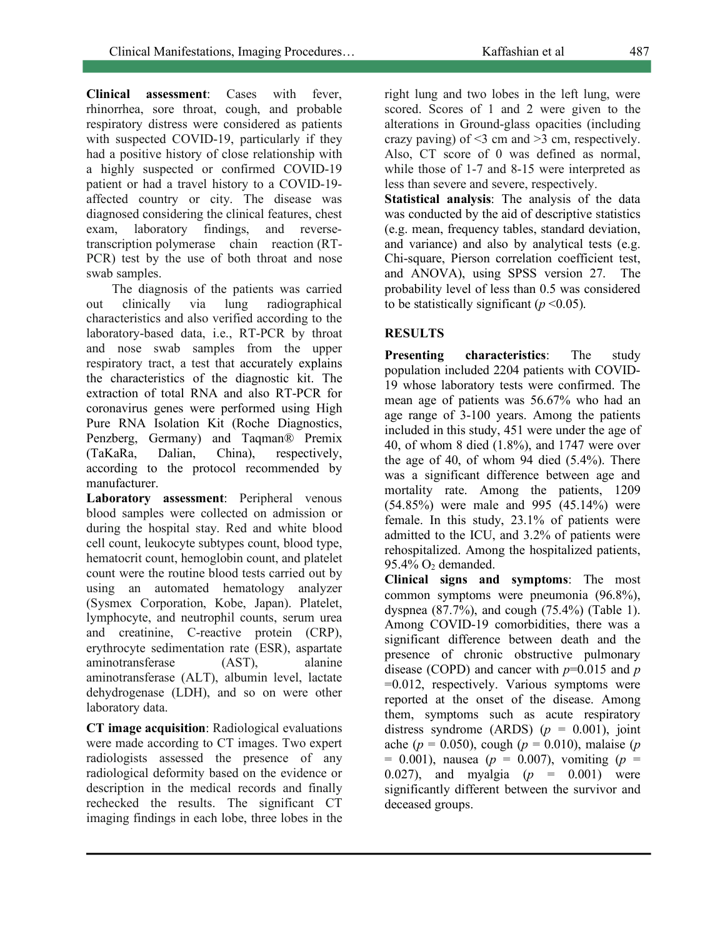**Clinical assessment**: Cases with fever, rhinorrhea, sore throat, cough, and probable respiratory distress were considered as patients with suspected COVID-19, particularly if they had a positive history of close relationship with a highly suspected or confirmed COVID-19 patient or had a travel history to a COVID-19 affected country or city. The disease was diagnosed considering the clinical features, chest exam, laboratory findings, and reversetranscription polymerase chain reaction (RT-PCR) test by the use of both throat and nose swab samples.

The diagnosis of the patients was carried out clinically via lung radiographical characteristics and also verified according to the laboratory-based data, i.e., RT-PCR by throat and nose swab samples from the upper respiratory tract, a test that accurately explains the characteristics of the diagnostic kit. The extraction of total RNA and also RT-PCR for coronavirus genes were performed using High Pure RNA Isolation Kit (Roche Diagnostics, Penzberg, Germany) and Taqman® Premix (TaKaRa, Dalian, China), respectively, according to the protocol recommended by manufacturer.

**Laboratory assessment**: Peripheral venous blood samples were collected on admission or during the hospital stay. Red and white blood cell count, leukocyte subtypes count, blood type, hematocrit count, hemoglobin count, and platelet count were the routine blood tests carried out by using an automated hematology analyzer (Sysmex Corporation, Kobe, Japan). Platelet, lymphocyte, and neutrophil counts, serum urea and creatinine, C-reactive protein (CRP), erythrocyte sedimentation rate (ESR), aspartate aminotransferase (AST), alanine aminotransferase (ALT), albumin level, lactate dehydrogenase (LDH), and so on were other laboratory data.

**CT image acquisition**: Radiological evaluations were made according to CT images. Two expert radiologists assessed the presence of any radiological deformity based on the evidence or description in the medical records and finally rechecked the results. The significant CT imaging findings in each lobe, three lobes in the right lung and two lobes in the left lung, were scored. Scores of 1 and 2 were given to the alterations in Ground-glass opacities (including crazy paving) of <3 cm and >3 cm, respectively. Also, CT score of 0 was defined as normal, while those of 1-7 and 8-15 were interpreted as less than severe and severe, respectively.

**Statistical analysis**: The analysis of the data was conducted by the aid of descriptive statistics (e.g. mean, frequency tables, standard deviation, and variance) and also by analytical tests (e.g. Chi-square, Pierson correlation coefficient test, and ANOVA), using SPSS version 27. The probability level of less than 0.5 was considered to be statistically significant ( $p \le 0.05$ ).

## **RESULTS**

**Presenting characteristics**: The study population included 2204 patients with COVID-19 whose laboratory tests were confirmed. The mean age of patients was 56.67% who had an age range of 3-100 years. Among the patients included in this study, 451 were under the age of 40, of whom 8 died (1.8%), and 1747 were over the age of 40, of whom 94 died  $(5.4\%)$ . There was a significant difference between age and mortality rate. Among the patients, 1209 (54.85%) were male and 995 (45.14%) were female. In this study, 23.1% of patients were admitted to the ICU, and 3.2% of patients were rehospitalized. Among the hospitalized patients, 95.4% O2 demanded.

**Clinical signs and symptoms**: The most common symptoms were pneumonia (96.8%), dyspnea (87.7%), and cough (75.4%) (Table 1). Among COVID-19 comorbidities, there was a significant difference between death and the presence of chronic obstructive pulmonary disease (COPD) and cancer with *p*=0.015 and *p* =0.012, respectively. Various symptoms were reported at the onset of the disease. Among them, symptoms such as acute respiratory distress syndrome (ARDS)  $(p = 0.001)$ , joint ache (*p* = 0.050), cough (*p* = 0.010), malaise (*p*  $= 0.001$ ), nausea ( $p = 0.007$ ), vomiting ( $p = 0.001$ ) 0.027), and myalgia  $(p = 0.001)$  were significantly different between the survivor and deceased groups.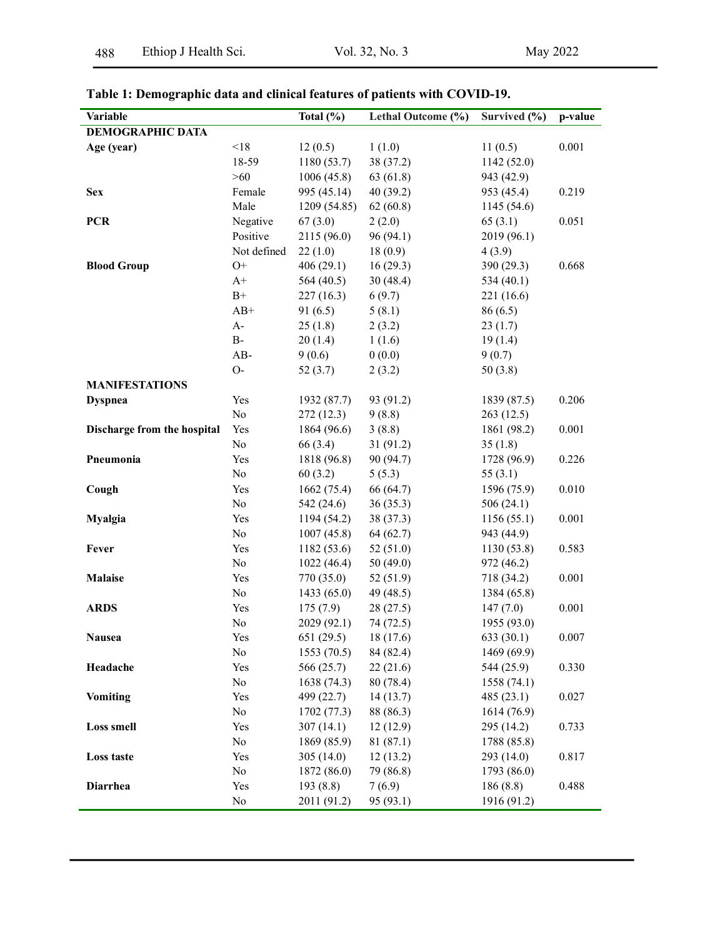| Variable                    |             | Total $(\% )$ | Lethal Outcome (%) | Survived (%) | $\overline{p}$ -value |
|-----------------------------|-------------|---------------|--------------------|--------------|-----------------------|
| <b>DEMOGRAPHIC DATA</b>     |             |               |                    |              |                       |
| Age (year)                  | < 18        | 12(0.5)       | 1(1.0)             | 11(0.5)      | 0.001                 |
|                             | 18-59       | 1180(53.7)    | 38 (37.2)          | 1142(52.0)   |                       |
|                             | >60         | 1006(45.8)    | 63(61.8)           | 943 (42.9)   |                       |
| <b>Sex</b>                  | Female      | 995 (45.14)   | 40(39.2)           | 953 (45.4)   | 0.219                 |
|                             | Male        | 1209(54.85)   | 62(60.8)           | 1145(54.6)   |                       |
| <b>PCR</b>                  | Negative    | 67(3.0)       | 2(2.0)             | 65(3.1)      | 0.051                 |
|                             | Positive    | 2115 (96.0)   | 96(94.1)           | 2019 (96.1)  |                       |
|                             | Not defined | 22(1.0)       | 18(0.9)            | 4(3.9)       |                       |
| <b>Blood Group</b>          | $O+$        | 406(29.1)     | 16(29.3)           | 390 (29.3)   | 0.668                 |
|                             | $A+$        | 564 (40.5)    | 30(48.4)           | 534 $(40.1)$ |                       |
|                             | $B+$        | 227(16.3)     | 6(9.7)             | 221 (16.6)   |                       |
|                             | $AB+$       | 91(6.5)       | 5(8.1)             | 86(6.5)      |                       |
|                             | $A-$        | 25(1.8)       | 2(3.2)             | 23(1.7)      |                       |
|                             | $\rm B$ -   | 20(1.4)       | 1(1.6)             | 19(1.4)      |                       |
|                             | $AB-$       | 9(0.6)        | 0(0.0)             | 9(0.7)       |                       |
|                             | $O-$        | 52(3.7)       | 2(3.2)             | 50(3.8)      |                       |
| <b>MANIFESTATIONS</b>       |             |               |                    |              |                       |
| <b>Dyspnea</b>              | Yes         | 1932 (87.7)   | 93 (91.2)          | 1839 (87.5)  | 0.206                 |
|                             | No          | 272(12.3)     | 9(8.8)             | 263(12.5)    |                       |
| Discharge from the hospital | Yes         | 1864 (96.6)   | 3(8.8)             | 1861 (98.2)  | 0.001                 |
|                             | No          | 66 (3.4)      | 31(91.2)           | 35(1.8)      |                       |
| Pneumonia                   | Yes         | 1818 (96.8)   | 90 (94.7)          | 1728 (96.9)  | 0.226                 |
|                             | No          | 60(3.2)       | 5(5.3)             | 55 $(3.1)$   |                       |
| Cough                       | Yes         | 1662(75.4)    | 66 (64.7)          | 1596 (75.9)  | 0.010                 |
|                             | $\rm No$    | 542 (24.6)    | 36(35.3)           | 506(24.1)    |                       |
| <b>Myalgia</b>              | Yes         | 1194 (54.2)   | 38 (37.3)          | 1156(55.1)   | 0.001                 |
|                             | $\rm No$    | 1007(45.8)    | 64(62.7)           | 943 (44.9)   |                       |
| Fever                       | Yes         | 1182(53.6)    | 52(51.0)           | 1130(53.8)   | 0.583                 |
|                             | No          | 1022(46.4)    | 50(49.0)           | 972 (46.2)   |                       |
| <b>Malaise</b>              | Yes         | 770(35.0)     | 52(51.9)           | 718 (34.2)   | 0.001                 |
|                             | No          | 1433(65.0)    | 49 (48.5)          | 1384 (65.8)  |                       |
| <b>ARDS</b>                 | Yes         | 175(7.9)      | 28(27.5)           | 147(7.0)     | 0.001                 |
|                             | No          | 2029 (92.1)   | 74(72.5)           | 1955 (93.0)  |                       |
| <b>Nausea</b>               | Yes         | 651(29.5)     | 18(17.6)           | 633 (30.1)   | 0.007                 |
|                             | $\rm No$    | 1553 (70.5)   | 84 (82.4)          | 1469 (69.9)  |                       |
| Headache                    | Yes         | 566 (25.7)    | 22(21.6)           | 544 (25.9)   | 0.330                 |
|                             | $\rm No$    | 1638 (74.3)   | 80 (78.4)          | 1558 (74.1)  |                       |
| <b>Vomiting</b>             | Yes         | 499 (22.7)    | 14(13.7)           | 485(23.1)    | 0.027                 |
|                             | $\rm No$    | 1702 (77.3)   | 88 (86.3)          | 1614 (76.9)  |                       |
| <b>Loss smell</b>           | Yes         | 307(14.1)     | 12(12.9)           | 295 (14.2)   | 0.733                 |
|                             | $\rm No$    | 1869 (85.9)   | 81 (87.1)          | 1788 (85.8)  |                       |
| Loss taste                  | Yes         | 305 $(14.0)$  | 12(13.2)           | 293 (14.0)   | 0.817                 |
|                             | No          | 1872 (86.0)   | 79 (86.8)          | 1793 (86.0)  |                       |
| <b>Diarrhea</b>             | Yes         | 193 (8.8)     | 7(6.9)             | 186(8.8)     | 0.488                 |
|                             | No          | 2011 (91.2)   | 95 (93.1)          | 1916 (91.2)  |                       |

# **Table 1: Demographic data and clinical features of patients with COVID-19.**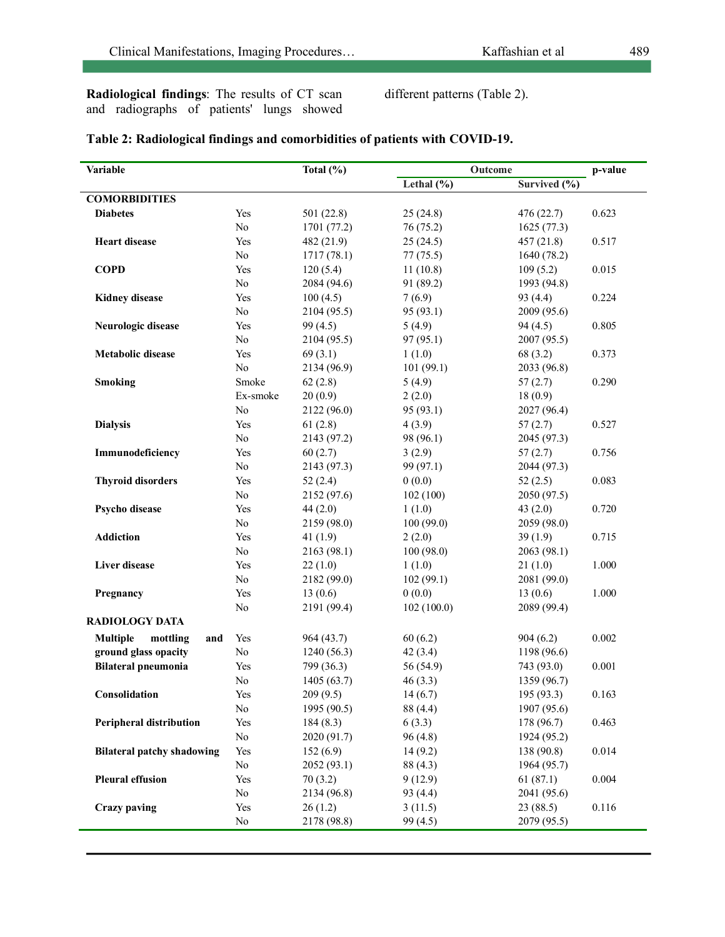**Radiological findings**: The results of CT scan and radiographs of patients' lungs showed different patterns (Table 2).

| Variable                                       | Total $(\%)$   |             |                | Outcome                 |       |
|------------------------------------------------|----------------|-------------|----------------|-------------------------|-------|
|                                                |                |             | Lethal $(\% )$ | Survived (%)            |       |
| <b>COMORBIDITIES</b>                           |                |             |                |                         |       |
| <b>Diabetes</b>                                | Yes            | 501(22.8)   | 25(24.8)       | 476 (22.7)              | 0.623 |
|                                                | No             | 1701 (77.2) | 76 (75.2)      | 1625(77.3)              |       |
| <b>Heart disease</b>                           | Yes            | 482 (21.9)  | 25(24.5)       | 457 (21.8)              | 0.517 |
|                                                | No             | 1717(78.1)  | 77(75.5)       | 1640 (78.2)             |       |
| <b>COPD</b>                                    | Yes            | 120(5.4)    | 11(10.8)       | 109(5.2)                | 0.015 |
|                                                | No             | 2084 (94.6) | 91 (89.2)      | 1993 (94.8)             |       |
| <b>Kidney disease</b>                          | Yes            | 100(4.5)    | 7(6.9)         | 93 (4.4)                | 0.224 |
|                                                | No             | 2104 (95.5) | 95 (93.1)      | 2009 (95.6)             |       |
| Neurologic disease                             | Yes            | 99(4.5)     | 5(4.9)         | 94(4.5)                 | 0.805 |
|                                                | No             | 2104 (95.5) | 97 (95.1)      | 2007 (95.5)             |       |
| <b>Metabolic disease</b>                       | Yes            | 69(3.1)     | 1(1.0)         | 68 (3.2)                | 0.373 |
|                                                | No             | 2134 (96.9) | 101(99.1)      | 2033 (96.8)             |       |
| <b>Smoking</b>                                 | Smoke          | 62(2.8)     | 5(4.9)         | 57(2.7)                 | 0.290 |
|                                                | Ex-smoke       | 20(0.9)     | 2(2.0)         | 18(0.9)                 |       |
|                                                | No             | 2122 (96.0) | 95 (93.1)      | 2027 (96.4)             |       |
| <b>Dialysis</b>                                | Yes            | 61(2.8)     | 4(3.9)         | 57(2.7)                 | 0.527 |
|                                                | No             | 2143 (97.2) | 98 (96.1)      | 2045 (97.3)             |       |
| Immunodeficiency                               | Yes            | 60(2.7)     | 3(2.9)         | 57(2.7)                 | 0.756 |
|                                                | No             | 2143 (97.3) | 99 (97.1)      | 2044 (97.3)             |       |
| <b>Thyroid disorders</b>                       | Yes            | 52(2.4)     | 0(0.0)         | 52(2.5)                 | 0.083 |
|                                                | No             | 2152 (97.6) | 102(100)       | 2050 (97.5)             |       |
| Psycho disease                                 | Yes            | 44(2.0)     | 1(1.0)         | 43 $(2.0)$              | 0.720 |
|                                                | No             | 2159 (98.0) | 100(99.0)      | 2059 (98.0)             |       |
| <b>Addiction</b>                               | Yes            | 41(1.9)     | 2(2.0)         | 39(1.9)                 | 0.715 |
|                                                | No             | 2163 (98.1) | 100(98.0)      | 2063 (98.1)             |       |
| Liver disease                                  | Yes            | 22(1.0)     | 1(1.0)         | 21(1.0)                 | 1.000 |
|                                                | No             | 2182 (99.0) | 102(99.1)      | 2081 (99.0)             |       |
| Pregnancy                                      | Yes            | 13(0.6)     | 0(0.0)         | 13(0.6)                 | 1.000 |
|                                                | N <sub>0</sub> | 2191 (99.4) | 102(100.0)     | 2089 (99.4)             |       |
| <b>RADIOLOGY DATA</b>                          |                |             |                |                         |       |
| mottling                                       |                |             |                |                         | 0.002 |
| <b>Multiple</b><br>and<br>ground glass opacity | Yes<br>No      | 964 (43.7)  | 60(6.2)        | 904(6.2)<br>1198 (96.6) |       |
|                                                |                | 1240(56.3)  | 42(3.4)        |                         |       |
| <b>Bilateral pneumonia</b>                     | Yes            | 799 (36.3)  | 56 (54.9)      | 743 (93.0)              | 0.001 |
|                                                | No             | 1405 (63.7) | 46(3.3)        | 1359 (96.7)             |       |
| Consolidation                                  | Yes            | 209(9.5)    | 14(6.7)        | 195 (93.3)              | 0.163 |
|                                                | No             | 1995 (90.5) | 88 (4.4)       | 1907 (95.6)             |       |
| <b>Peripheral distribution</b>                 | Yes            | 184(8.3)    | 6(3.3)         | 178 (96.7)              | 0.463 |
|                                                | No             | 2020 (91.7) | 96(4.8)        | 1924 (95.2)             |       |
| <b>Bilateral patchy shadowing</b>              | Yes            | 152(6.9)    | 14(9.2)        | 138 (90.8)              | 0.014 |
|                                                | No             | 2052 (93.1) | 88 (4.3)       | 1964 (95.7)             |       |
| <b>Pleural effusion</b>                        | Yes            | 70(3.2)     | 9(12.9)        | 61(87.1)                | 0.004 |
|                                                | No             | 2134 (96.8) | 93 (4.4)       | 2041 (95.6)             |       |
| <b>Crazy paving</b>                            | Yes            | 26(1.2)     | 3(11.5)        | 23(88.5)                | 0.116 |
|                                                | No             | 2178 (98.8) | 99(4.5)        | 2079 (95.5)             |       |

# **Table 2: Radiological findings and comorbidities of patients with COVID-19.**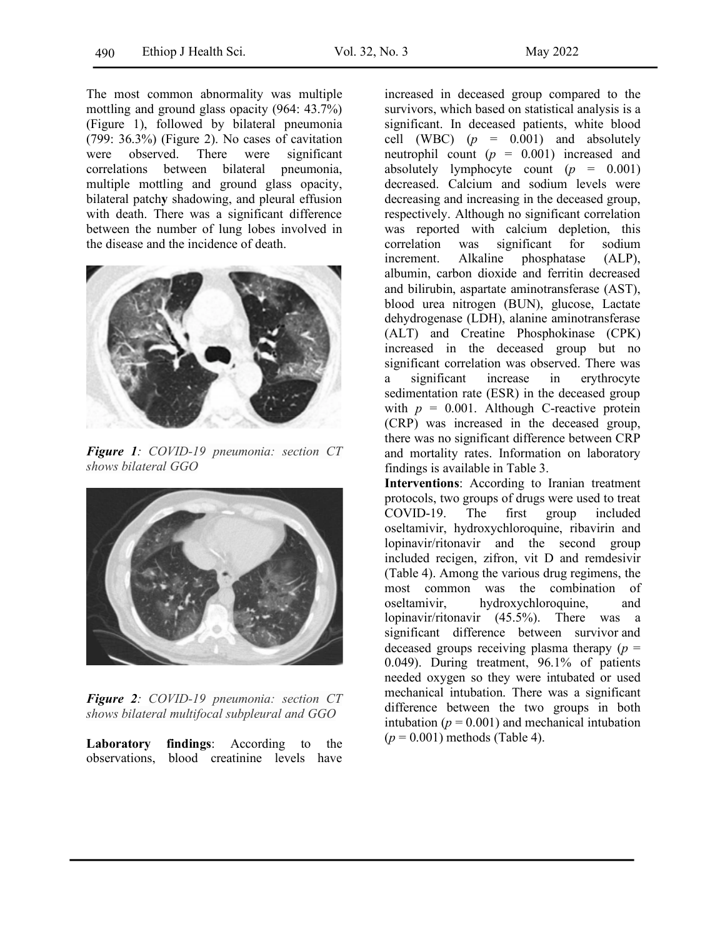The most common abnormality was multiple mottling and ground glass opacity (964: 43.7%) (Figure 1), followed by bilateral pneumonia (799: 36.3%) (Figure 2). No cases of cavitation were observed. There were significant correlations between bilateral pneumonia, multiple mottling and ground glass opacity, bilateral patch**y** shadowing, and pleural effusion with death. There was a significant difference between the number of lung lobes involved in the disease and the incidence of death.



*Figure 1: COVID-19 pneumonia: section CT shows bilateral GGO*



*Figure 2: COVID-19 pneumonia: section CT shows bilateral multifocal subpleural and GGO*

**Laboratory findings**: According to the observations, blood creatinine levels have increased in deceased group compared to the survivors, which based on statistical analysis is a significant. In deceased patients, white blood cell (WBC)  $(p = 0.001)$  and absolutely neutrophil count (*p* = 0.001) increased and absolutely lymphocyte count (*p* = 0.001) decreased. Calcium and sodium levels were decreasing and increasing in the deceased group, respectively. Although no significant correlation was reported with calcium depletion, this correlation was significant for sodium increment. Alkaline phosphatase (ALP), albumin, carbon dioxide and ferritin decreased and bilirubin, aspartate aminotransferase (AST), blood urea nitrogen (BUN), glucose, Lactate dehydrogenase (LDH), alanine aminotransferase (ALT) and Creatine Phosphokinase (CPK) increased in the deceased group but no significant correlation was observed. There was a significant increase in erythrocyte sedimentation rate (ESR) in the deceased group with  $p = 0.001$ . Although C-reactive protein (CRP) was increased in the deceased group, there was no significant difference between CRP and mortality rates. Information on laboratory findings is available in Table 3.

**Interventions**: According to Iranian treatment protocols, two groups of drugs were used to treat COVID-19. The first group included oseltamivir, hydroxychloroquine, ribavirin and lopinavir/ritonavir and the second group included recigen, zifron, vit D and remdesivir (Table 4). Among the various drug regimens, the most common was the combination of oseltamivir, hydroxychloroquine, and lopinavir/ritonavir (45.5%). There was a significant difference between survivor and deceased groups receiving plasma therapy  $(p =$ 0.049). During treatment, 96.1% of patients needed oxygen so they were intubated or used mechanical intubation. There was a significant difference between the two groups in both intubation  $(p = 0.001)$  and mechanical intubation (*p* = 0.001) methods (Table 4).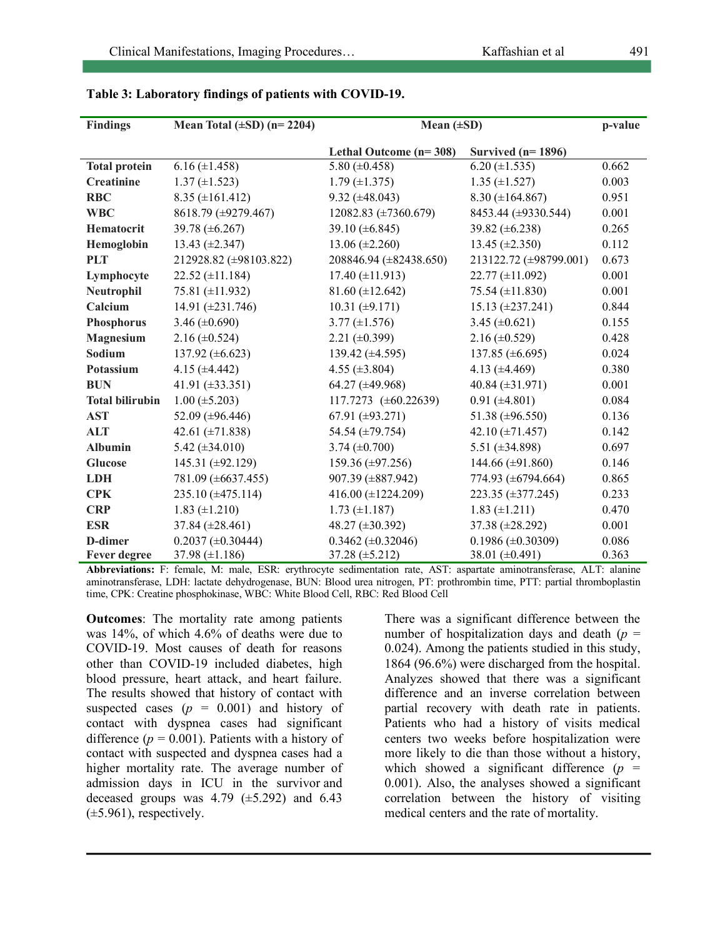| <b>Findings</b>        | Mean Total $(\pm SD)$ (n= 2204) | Mean $(\pm SD)$<br>p-value |                          |       |
|------------------------|---------------------------------|----------------------------|--------------------------|-------|
|                        |                                 | Lethal Outcome $(n=308)$   | Survived $(n=1896)$      |       |
| <b>Total protein</b>   | $6.16 (\pm 1.458)$              | 5.80 $(\pm 0.458)$         | $6.20 (\pm 1.535)$       | 0.662 |
| <b>Creatinine</b>      | $1.37 \ (\pm 1.523)$            | $1.79 \ (\pm 1.375)$       | $1.35 \ (\pm 1.527)$     | 0.003 |
| <b>RBC</b>             | $8.35 \ (\pm 161.412)$          | $9.32 \ (\pm 48.043)$      | $8.30 (\pm 164.867)$     | 0.951 |
| <b>WBC</b>             | 8618.79 (±9279.467)             | 12082.83 (±7360.679)       | 8453.44 (±9330.544)      | 0.001 |
| Hematocrit             | 39.78 (±6.267)                  | 39.10 (±6.845)             | 39.82 $(\pm 6.238)$      | 0.265 |
| Hemoglobin             | $13.43 \ (\pm 2.347)$           | $13.06 (\pm 2.260)$        | $13.45 \ (\pm 2.350)$    | 0.112 |
| <b>PLT</b>             | 212928.82 (±98103.822)          | 208846.94 (±82438.650)     | 213122.72 (±98799.001)   | 0.673 |
| Lymphocyte             | $22.52 \ (\pm 11.184)$          | $17.40 \ (\pm 11.913)$     | $22.77 \ (\pm 11.092)$   | 0.001 |
| Neutrophil             | 75.81 (±11.932)                 | $81.60 (\pm 12.642)$       | 75.54 $(\pm 11.830)$     | 0.001 |
| Calcium                | 14.91 $(\pm 231.746)$           | $10.31 \ (\pm 9.171)$      | $15.13 \ (\pm 237.241)$  | 0.844 |
| Phosphorus             | 3.46 $(\pm 0.690)$              | $3.77 \ (\pm 1.576)$       | $3.45 \ (\pm 0.621)$     | 0.155 |
| <b>Magnesium</b>       | $2.16 \ (\pm 0.524)$            | $2.21 (\pm 0.399)$         | $2.16 \ (\pm 0.529)$     | 0.428 |
| Sodium                 | 137.92 $(\pm 6.623)$            | 139.42 $(\pm 4.595)$       | 137.85 $(\pm 6.695)$     | 0.024 |
| Potassium              | 4.15 $(\pm 4.442)$              | 4.55 $(\pm 3.804)$         | 4.13 $(\pm 4.469)$       | 0.380 |
| <b>BUN</b>             | 41.91 $(\pm 33.351)$            | 64.27 (±49.968)            | 40.84 $(\pm 31.971)$     | 0.001 |
| <b>Total bilirubin</b> | $1.00 \ (\pm 5.203)$            | 117.7273 $(\pm 60.22639)$  | $0.91 (\pm 4.801)$       | 0.084 |
| <b>AST</b>             | 52.09 ( $\pm$ 96.446)           | 67.91 ( $\pm$ 93.271)      | 51.38 ( $\pm$ 96.550)    | 0.136 |
| <b>ALT</b>             | 42.61 $(\pm 71.838)$            | 54.54 (±79.754)            | 42.10 $(\pm 71.457)$     | 0.142 |
| <b>Albumin</b>         | 5.42 $(\pm 34.010)$             | $3.74 \ (\pm 0.700)$       | 5.51 $(\pm 34.898)$      | 0.697 |
| <b>Glucose</b>         | 145.31 ( $\pm$ 92.129)          | 159.36 ( $\pm$ 97.256)     | 144.66 ( $\pm$ 91.860)   | 0.146 |
| <b>LDH</b>             | 781.09 (±6637.455)              | 907.39 (±887.942)          | 774.93 (±6794.664)       | 0.865 |
| <b>CPK</b>             | $235.10 \ (\pm 475.114)$        | 416.00 $(\pm 1224.209)$    | $223.35 \ (\pm 377.245)$ | 0.233 |
| <b>CRP</b>             | $1.83 \ (\pm 1.210)$            | $1.73 \ (\pm 1.187)$       | $1.83 \ (\pm 1.211)$     | 0.470 |
| <b>ESR</b>             | 37.84 ( $\pm 28.461$ )          | 48.27 (±30.392)            | 37.38 (±28.292)          | 0.001 |
| D-dimer                | $0.2037 \ (\pm 0.30444)$        | $0.3462 (\pm 0.32046)$     | $0.1986 \ (\pm 0.30309)$ | 0.086 |
| <b>Fever degree</b>    | 37.98 $(\pm 1.186)$             | $37.28 (\pm 5.212)$        | 38.01 $(\pm 0.491)$      | 0.363 |

| Table 3: Laboratory findings of patients with COVID-19. |  |  |  |
|---------------------------------------------------------|--|--|--|
|---------------------------------------------------------|--|--|--|

**Abbreviations:** F: female, M: male, ESR: erythrocyte sedimentation rate, AST: aspartate aminotransferase, ALT: alanine aminotransferase, LDH: lactate dehydrogenase, BUN: Blood urea nitrogen, PT: prothrombin time, PTT: partial thromboplastin time, CPK: Creatine phosphokinase, WBC: White Blood Cell, RBC: Red Blood Cell

**Outcomes**: The mortality rate among patients was 14%, of which 4.6% of deaths were due to COVID-19. Most causes of death for reasons other than COVID-19 included diabetes, high blood pressure, heart attack, and heart failure. The results showed that history of contact with suspected cases  $(p = 0.001)$  and history of contact with dyspnea cases had significant difference  $(p = 0.001)$ . Patients with a history of contact with suspected and dyspnea cases had a higher mortality rate. The average number of admission days in ICU in the survivor and deceased groups was  $4.79$  ( $\pm$ 5.292) and 6.43  $(\pm 5.961)$ , respectively.

There was a significant difference between the number of hospitalization days and death  $(p =$ 0.024). Among the patients studied in this study, 1864 (96.6%) were discharged from the hospital. Analyzes showed that there was a significant difference and an inverse correlation between partial recovery with death rate in patients. Patients who had a history of visits medical centers two weeks before hospitalization were more likely to die than those without a history, which showed a significant difference  $(p =$ 0.001). Also, the analyses showed a significant correlation between the history of visiting medical centers and the rate of mortality.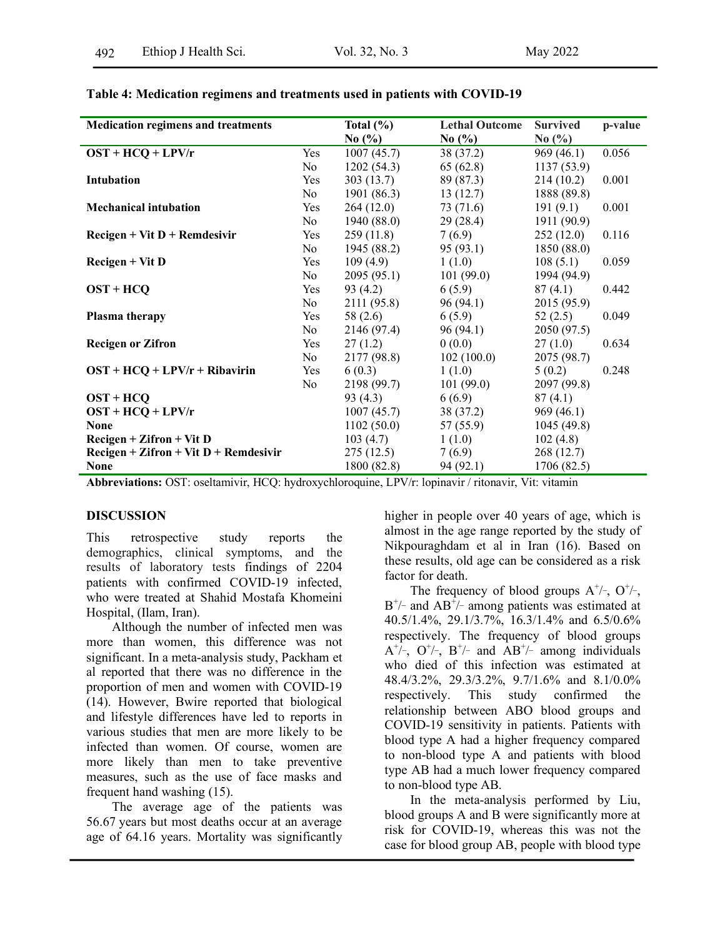| <b>Medication regimens and treatments</b> |            | Total $(\% )$ | <b>Lethal Outcome</b> | <b>Survived</b> | p-value |
|-------------------------------------------|------------|---------------|-----------------------|-----------------|---------|
|                                           |            | No $(\% )$    | No $(\% )$            | No $(\% )$      |         |
| $OST + HCQ + LPV/r$                       | Yes        | 1007(45.7)    | 38 (37.2)             | 969(46.1)       | 0.056   |
|                                           | No         | 1202(54.3)    | 65(62.8)              | 1137(53.9)      |         |
| Intubation                                | Yes        | 303(13.7)     | 89 (87.3)             | 214(10.2)       | 0.001   |
|                                           | No         | 1901 (86.3)   | 13(12.7)              | 1888 (89.8)     |         |
| <b>Mechanical intubation</b>              | Yes        | 264(12.0)     | 73 (71.6)             | 191(9.1)        | 0.001   |
|                                           | No         | 1940 (88.0)   | 29(28.4)              | 1911 (90.9)     |         |
| $Recigen + Vit D + Remdesivir$            | Yes        | 259(11.8)     | 7(6.9)                | 252(12.0)       | 0.116   |
|                                           | No.        | 1945 (88.2)   | 95(93.1)              | 1850(88.0)      |         |
| $Recigen + Vit D$                         | <b>Yes</b> | 109(4.9)      | 1(1.0)                | 108(5.1)        | 0.059   |
|                                           | No         | 2095(95.1)    | 101(99.0)             | 1994 (94.9)     |         |
| $OST + HCO$                               | Yes        | 93 (4.2)      | 6(5.9)                | 87(4.1)         | 0.442   |
|                                           | No         | 2111 (95.8)   | 96(94.1)              | 2015 (95.9)     |         |
| Plasma therapy                            | Yes        | 58(2.6)       | 6(5.9)                | 52(2.5)         | 0.049   |
|                                           | No         | 2146 (97.4)   | 96(94.1)              | 2050 (97.5)     |         |
| <b>Recigen or Zifron</b>                  | Yes        | 27(1.2)       | 0(0.0)                | 27(1.0)         | 0.634   |
|                                           | No         | 2177 (98.8)   | 102(100.0)            | 2075 (98.7)     |         |
| $OST + HCQ + LPV/r + Ribavirin$           | Yes        | 6(0.3)        | 1(1.0)                | 5(0.2)          | 0.248   |
|                                           | No         | 2198 (99.7)   | 101(99.0)             | 2097 (99.8)     |         |
| $OST + HCO$                               |            | 93(4.3)       | 6(6.9)                | 87(4.1)         |         |
| $OST + HCQ + LPV/r$                       |            | 1007(45.7)    | 38 (37.2)             | 969(46.1)       |         |
| <b>None</b>                               |            | 1102(50.0)    | 57 (55.9)             | 1045 (49.8)     |         |
| $Recigen + Zifron + Vit D$                |            | 103(4.7)      | 1(1.0)                | 102(4.8)        |         |
| $Recigen + Zifron + Vit D + Remdesivir$   |            | 275(12.5)     | 7(6.9)                | 268 (12.7)      |         |
| <b>None</b>                               |            | 1800 (82.8)   | 94 (92.1)             | 1706 (82.5)     |         |

### **Table 4: Medication regimens and treatments used in patients with COVID-19**

**Abbreviations:** OST: oseltamivir, HCQ: hydroxychloroquine, LPV/r: lopinavir / ritonavir, Vit: vitamin

### **DISCUSSION**

This retrospective study reports the demographics, clinical symptoms, and the results of laboratory tests findings of 2204 patients with confirmed COVID-19 infected, who were treated at Shahid Mostafa Khomeini Hospital, (Ilam, Iran).

Although the number of infected men was more than women, this difference was not significant. In a meta-analysis study, Packham et al reported that there was no difference in the proportion of men and women with COVID-19 (14). However, Bwire reported that biological and lifestyle differences have led to reports in various studies that men are more likely to be infected than women. Of course, women are more likely than men to take preventive measures, such as the use of face masks and frequent hand washing (15).

The average age of the patients was 56.67 years but most deaths occur at an average age of 64.16 years. Mortality was significantly higher in people over 40 years of age, which is almost in the age range reported by the study of Nikpouraghdam et al in Iran (16). Based on these results, old age can be considered as a risk factor for death

The frequency of blood groups  $A^{\dagger}/\text{-}$ ,  $O^{\dagger}/\text{-}$ ,  $B^{\dagger/-}$  and  $AB^{\dagger/-}$  among patients was estimated at 40.5/1.4%, 29.1/3.7%, 16.3/1.4% and 6.5/0.6% respectively. The frequency of blood groups  $A^{+/-}$ ,  $O^{+/-}$ ,  $B^{+/-}$  and  $AB^{+/-}$  among individuals who died of this infection was estimated at 48.4/3.2%, 29.3/3.2%, 9.7/1.6% and 8.1/0.0% respectively. This study confirmed the relationship between ABO blood groups and COVID-19 sensitivity in patients. Patients with blood type A had a higher frequency compared to non-blood type A and patients with blood type AB had a much lower frequency compared to non-blood type AB.

In the meta-analysis performed by Liu, blood groups A and B were significantly more at risk for COVID-19, whereas this was not the case for blood group AB, people with blood type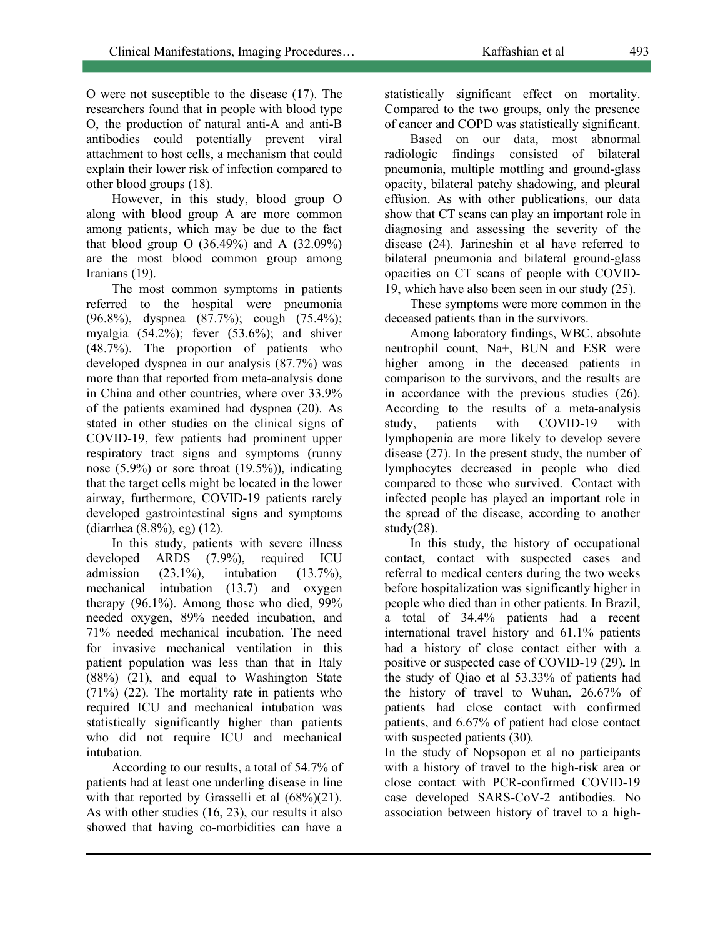O were not susceptible to the disease (17). The researchers found that in people with blood type O, the production of natural anti-A and anti-B antibodies could potentially prevent viral attachment to host cells, a mechanism that could explain their lower risk of infection compared to other blood groups (18).

However, in this study, blood group O along with blood group A are more common among patients, which may be due to the fact that blood group O  $(36.49\%)$  and A  $(32.09\%)$ are the most blood common group among Iranians (19).

The most common symptoms in patients referred to the hospital were pneumonia (96.8%), dyspnea (87.7%); cough (75.4%); myalgia  $(54.2\%)$ ; fever  $(53.6\%)$ ; and shiver (48.7%). The proportion of patients who developed dyspnea in our analysis (87.7%) was more than that reported from meta-analysis done in China and other countries, where over 33.9% of the patients examined had dyspnea (20). As stated in other studies on the clinical signs of COVID-19, few patients had prominent upper respiratory tract signs and symptoms (runny nose  $(5.9\%)$  or sore throat  $(19.5\%)$ , indicating that the target cells might be located in the lower airway, furthermore, COVID-19 patients rarely developed gastrointestinal signs and symptoms (diarrhea (8.8%), eg) (12).

In this study, patients with severe illness developed ARDS (7.9%), required ICU admission (23.1%), intubation (13.7%), mechanical intubation (13.7) and oxygen therapy (96.1%). Among those who died, 99% needed oxygen, 89% needed incubation, and 71% needed mechanical incubation. The need for invasive mechanical ventilation in this patient population was less than that in Italy (88%) (21), and equal to Washington State (71%) (22). The mortality rate in patients who required ICU and mechanical intubation was statistically significantly higher than patients who did not require ICU and mechanical intubation.

According to our results, a total of 54.7% of patients had at least one underling disease in line with that reported by Grasselli et al  $(68\%)(21)$ . As with other studies (16, 23), our results it also showed that having co-morbidities can have a

statistically significant effect on mortality. Compared to the two groups, only the presence of cancer and COPD was statistically significant.

Based on our data, most abnormal radiologic findings consisted of bilateral pneumonia, multiple mottling and ground-glass opacity, bilateral patchy shadowing, and pleural effusion. As with other publications, our data show that CT scans can play an important role in diagnosing and assessing the severity of the disease (24). Jarineshin et al have referred to bilateral pneumonia and bilateral ground-glass opacities on CT scans of people with COVID-19, which have also been seen in our study (25).

These symptoms were more common in the deceased patients than in the survivors.

Among laboratory findings, WBC, absolute neutrophil count, Na+, BUN and ESR were higher among in the deceased patients in comparison to the survivors, and the results are in accordance with the previous studies (26). According to the results of a meta-analysis study, patients with COVID-19 with lymphopenia are more likely to develop severe disease (27). In the present study, the number of lymphocytes decreased in people who died compared to those who survived. Contact with infected people has played an important role in the spread of the disease, according to another study $(28)$ .

In this study, the history of occupational contact, contact with suspected cases and referral to medical centers during the two weeks before hospitalization was significantly higher in people who died than in other patients. In Brazil, a total of 34.4% patients had a recent international travel history and 61.1% patients had a history of close contact either with a positive or suspected case of COVID-19 (29)**.** In the study of Qiao et al 53.33% of patients had the history of travel to Wuhan, 26.67% of patients had close contact with confirmed patients, and 6.67% of patient had close contact with suspected patients (30).

In the study of Nopsopon et al no participants with a history of travel to the high-risk area or close contact with PCR-confirmed COVID-19 case developed SARS-CoV-2 antibodies. No association between history of travel to a high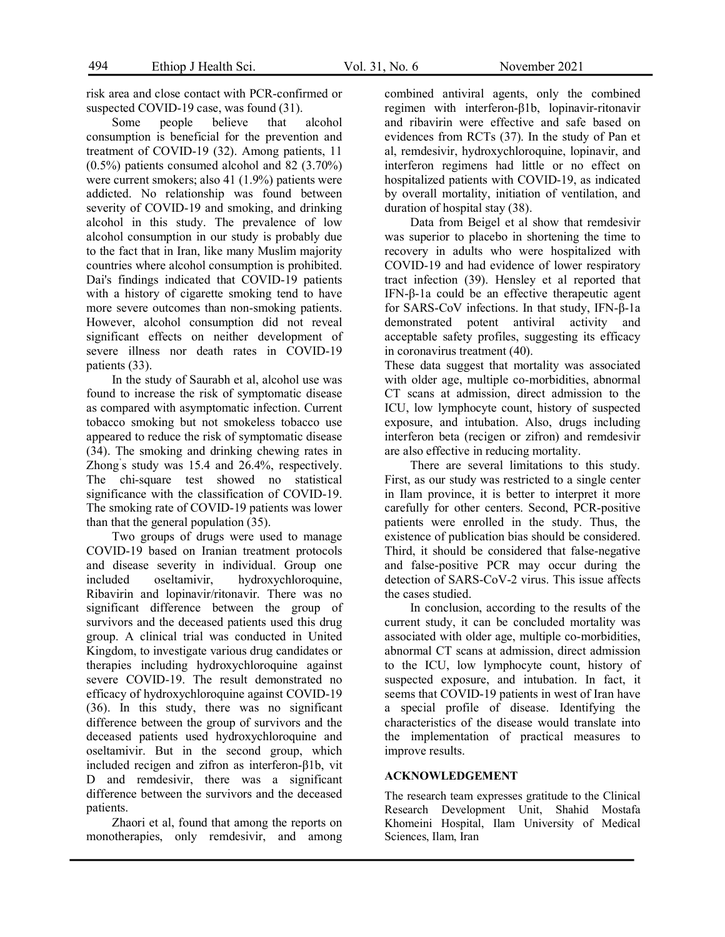risk area and close contact with PCR-confirmed or suspected COVID-19 case, was found (31).

Some people believe that alcohol consumption is beneficial for the prevention and treatment of COVID-19 (32). Among patients, 11 (0.5%) patients consumed alcohol and 82 (3.70%) were current smokers; also 41 (1.9%) patients were addicted. No relationship was found between severity of COVID-19 and smoking, and drinking alcohol in this study. The prevalence of low alcohol consumption in our study is probably due to the fact that in Iran, like many Muslim majority countries where alcohol consumption is prohibited. Dai's findings indicated that COVID-19 patients with a history of cigarette smoking tend to have more severe outcomes than non-smoking patients. However, alcohol consumption did not reveal significant effects on neither development of severe illness nor death rates in COVID-19 patients (33).

In the study of Saurabh et al, alcohol use was found to increase the risk of symptomatic disease as compared with asymptomatic infection. Current tobacco smoking but not smokeless tobacco use appeared to reduce the risk of symptomatic disease (34). The smoking and drinking chewing rates in Zhong' s study was 15.4 and 26.4%, respectively. The chi-square test showed no statistical significance with the classification of COVID-19. The smoking rate of COVID-19 patients was lower than that the general population (35).

Two groups of drugs were used to manage COVID-19 based on Iranian treatment protocols and disease severity in individual. Group one included oseltamivir, hydroxychloroquine, Ribavirin and lopinavir/ritonavir. There was no significant difference between the group of survivors and the deceased patients used this drug group. A clinical trial was conducted in United Kingdom, to investigate various drug candidates or therapies including hydroxychloroquine against severe COVID-19. The result demonstrated no efficacy of hydroxychloroquine against COVID-19 (36). In this study, there was no significant difference between the group of survivors and the deceased patients used hydroxychloroquine and oseltamivir. But in the second group, which included recigen and zifron as interferon-β1b, vit D and remdesivir, there was a significant difference between the survivors and the deceased patients.

Zhaori et al, found that among the reports on monotherapies, only remdesivir, and among

combined antiviral agents, only the combined regimen with interferon-β1b, lopinavir-ritonavir and ribavirin were effective and safe based on evidences from RCTs (37). In the study of Pan et al, remdesivir, hydroxychloroquine, lopinavir, and interferon regimens had little or no effect on hospitalized patients with COVID-19, as indicated by overall mortality, initiation of ventilation, and duration of hospital stay (38).

Data from Beigel et al show that remdesivir was superior to placebo in shortening the time to recovery in adults who were hospitalized with COVID-19 and had evidence of lower respiratory tract infection (39). Hensley et al reported that IFN-β-1a could be an effective therapeutic agent for SARS-CoV infections. In that study, IFN-β-1a demonstrated potent antiviral activity and acceptable safety profiles, suggesting its efficacy in coronavirus treatment (40).

These data suggest that mortality was associated with older age, multiple co-morbidities, abnormal CT scans at admission, direct admission to the ICU, low lymphocyte count, history of suspected exposure, and intubation. Also, drugs including interferon beta (recigen or zifron) and remdesivir are also effective in reducing mortality.

There are several limitations to this study. First, as our study was restricted to a single center in Ilam province, it is better to interpret it more carefully for other centers. Second, PCR-positive patients were enrolled in the study. Thus, the existence of publication bias should be considered. Third, it should be considered that false-negative and false-positive PCR may occur during the detection of SARS-CoV-2 virus. This issue affects the cases studied.

In conclusion, according to the results of the current study, it can be concluded mortality was associated with older age, multiple co-morbidities, abnormal CT scans at admission, direct admission to the ICU, low lymphocyte count, history of suspected exposure, and intubation. In fact, it seems that COVID-19 patients in west of Iran have a special profile of disease. Identifying the characteristics of the disease would translate into the implementation of practical measures to improve results.

#### **ACKNOWLEDGEMENT**

The research team expresses gratitude to the Clinical Research Development Unit, Shahid Mostafa Khomeini Hospital, Ilam University of Medical Sciences, Ilam, Iran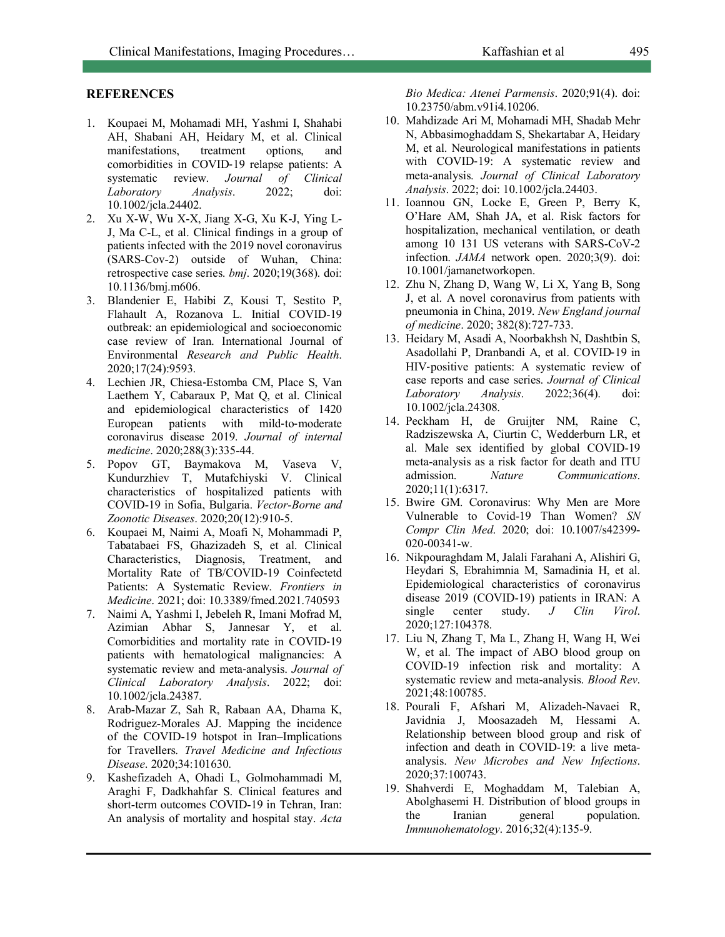### **REFERENCES**

- 1. Koupaei M, Mohamadi MH, Yashmi I, Shahabi AH, Shabani AH, Heidary M, et al. Clinical manifestations, treatment options, and comorbidities in COVID-19 relapse patients: A systematic review. *Journal of Clinical Laboratory Analysis*. 2022; doi: 10.1002/jcla.24402.
- 2. Xu X-W, Wu X-X, Jiang X-G, Xu K-J, Ying L-J, Ma C-L, et al. Clinical findings in a group of patients infected with the 2019 novel coronavirus (SARS-Cov-2) outside of Wuhan, China: retrospective case series. *bmj*. 2020;19(368). doi: 10.1136/bmj.m606.
- 3. Blandenier E, Habibi Z, Kousi T, Sestito P, Flahault A, Rozanova L. Initial COVID-19 outbreak: an epidemiological and socioeconomic case review of Iran. International Journal of Environmental *Research and Public Health*. 2020;17(24):9593.
- 4. Lechien JR, Chiesa-Estomba CM, Place S, Van Laethem Y, Cabaraux P, Mat Q, et al. Clinical and epidemiological characteristics of 1420 European patients with mild-to-moderate coronavirus disease 2019. *Journal of internal medicine*. 2020;288(3):335-44.
- 5. Popov GT, Baymakova M, Vaseva V, Kundurzhiev T, Mutafchiyski V. Clinical characteristics of hospitalized patients with COVID-19 in Sofia, Bulgaria. *Vector-Borne and Zoonotic Diseases*. 2020;20(12):910-5.
- 6. Koupaei M, Naimi A, Moafi N, Mohammadi P, Tabatabaei FS, Ghazizadeh S, et al. Clinical Characteristics, Diagnosis, Treatment, and Mortality Rate of TB/COVID-19 Coinfectetd Patients: A Systematic Review. *Frontiers in Medicine*. 2021; doi: 10.3389/fmed.2021.740593
- 7. Naimi A, Yashmi I, Jebeleh R, Imani Mofrad M, Azimian Abhar S, Jannesar Y, et al. Comorbidities and mortality rate in COVID-19 patients with hematological malignancies: A systematic review and meta-analysis. *Journal of Clinical Laboratory Analysis*. 2022; doi: 10.1002/jcla.24387.
- 8. Arab-Mazar Z, Sah R, Rabaan AA, Dhama K, Rodriguez-Morales AJ. Mapping the incidence of the COVID-19 hotspot in Iran–Implications for Travellers. *Travel Medicine and Infectious Disease*. 2020;34:101630.
- 9. Kashefizadeh A, Ohadi L, Golmohammadi M, Araghi F, Dadkhahfar S. Clinical features and short-term outcomes COVID-19 in Tehran, Iran: An analysis of mortality and hospital stay. *Acta*

*Bio Medica: Atenei Parmensis*. 2020;91(4). doi: 10.23750/abm.v91i4.10206.

- 10. Mahdizade Ari M, Mohamadi MH, Shadab Mehr N, Abbasimoghaddam S, Shekartabar A, Heidary M, et al. Neurological manifestations in patients with COVID-19: A systematic review and meta-analysis. *Journal of Clinical Laboratory Analysis*. 2022; doi: 10.1002/jcla.24403.
- 11. Ioannou GN, Locke E, Green P, Berry K, O'Hare AM, Shah JA, et al. Risk factors for hospitalization, mechanical ventilation, or death among 10 131 US veterans with SARS-CoV-2 infection. *JAMA* network open. 2020;3(9). doi: 10.1001/jamanetworkopen.
- 12. Zhu N, Zhang D, Wang W, Li X, Yang B, Song J, et al. A novel coronavirus from patients with pneumonia in China, 2019. *New England journal of medicine*. 2020; 382(8):727-733.
- 13. Heidary M, Asadi A, Noorbakhsh N, Dashtbin S, Asadollahi P, Dranbandi A, et al. COVID-19 in HIV-positive patients: A systematic review of case reports and case series. *Journal of Clinical Laboratory Analysis*. 2022;36(4). doi: 10.1002/jcla.24308.
- 14. Peckham H, de Gruijter NM, Raine C, Radziszewska A, Ciurtin C, Wedderburn LR, et al. Male sex identified by global COVID-19 meta-analysis as a risk factor for death and ITU admission. *Nature Communications*. 2020;11(1):6317.
- 15. Bwire GM. Coronavirus: Why Men are More Vulnerable to Covid-19 Than Women? *SN Compr Clin Med*. 2020; doi: 10.1007/s42399- 020-00341-w.
- 16. Nikpouraghdam M, Jalali Farahani A, Alishiri G, Heydari S, Ebrahimnia M, Samadinia H, et al. Epidemiological characteristics of coronavirus disease 2019 (COVID-19) patients in IRAN: A single center study. *J Clin Virol*. 2020;127:104378.
- 17. Liu N, Zhang T, Ma L, Zhang H, Wang H, Wei W, et al. The impact of ABO blood group on COVID-19 infection risk and mortality: A systematic review and meta-analysis. *Blood Rev*. 2021;48:100785.
- 18. Pourali F, Afshari M, Alizadeh-Navaei R, Javidnia J, Moosazadeh M, Hessami A. Relationship between blood group and risk of infection and death in COVID-19: a live metaanalysis. *New Microbes and New Infections*. 2020;37:100743.
- 19. Shahverdi E, Moghaddam M, Talebian A, Abolghasemi H. Distribution of blood groups in the Iranian general population. *Immunohematology*. 2016;32(4):135-9.